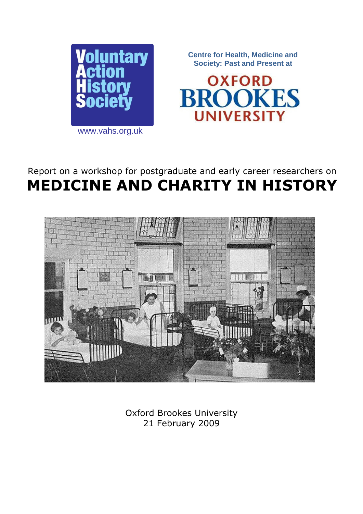

**Centre for Health, Medicine and Society: Past and Present at**



www.vahs.org.uk

# Report on a workshop for postgraduate and early career researchers on **MEDICINE AND CHARITY IN HISTORY**



Oxford Brookes University 21 February 2009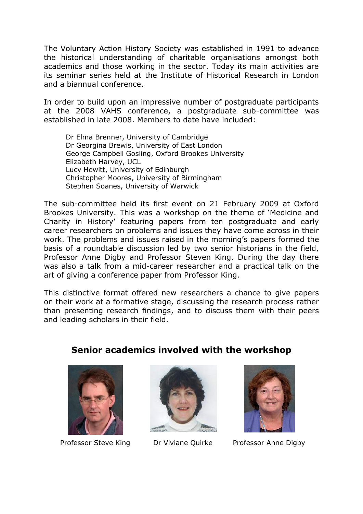The Voluntary Action History Society was established in 1991 to advance the historical understanding of charitable organisations amongst both academics and those working in the sector. Today its main activities are its seminar series held at the Institute of Historical Research in London and a biannual conference.

In order to build upon an impressive number of postgraduate participants at the 2008 VAHS conference, a postgraduate sub-committee was established in late 2008. Members to date have included:

Dr Elma Brenner, University of Cambridge Dr Georgina Brewis, University of East London George Campbell Gosling, Oxford Brookes University Elizabeth Harvey, UCL Lucy Hewitt, University of Edinburgh Christopher Moores, University of Birmingham Stephen Soanes, University of Warwick

The sub-committee held its first event on 21 February 2009 at Oxford Brookes University. This was a workshop on the theme of 'Medicine and Charity in History' featuring papers from ten postgraduate and early career researchers on problems and issues they have come across in their work. The problems and issues raised in the morning's papers formed the basis of a roundtable discussion led by two senior historians in the field, Professor Anne Digby and Professor Steven King. During the day there was also a talk from a mid-career researcher and a practical talk on the art of giving a conference paper from Professor King.

This distinctive format offered new researchers a chance to give papers on their work at a formative stage, discussing the research process rather than presenting research findings, and to discuss them with their peers and leading scholars in their field.

**Senior academics involved with the workshop**







Professor Steve King Dr Viviane Quirke Professor Anne Digby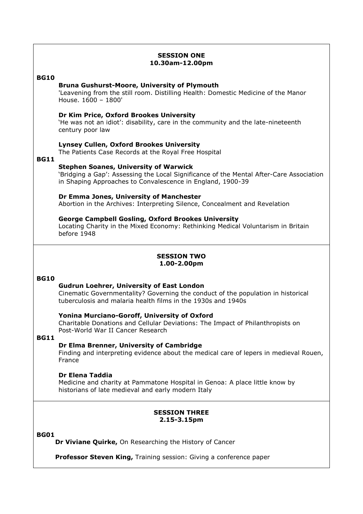# **SESSION ONE 10.30am-12.00pm**

# **BG10**

## **Bruna Gushurst-Moore, University of Plymouth**

'Leavening from the still room. Distilling Health: Domestic Medicine of the Manor House. 1600 – 1800'

## **Dr Kim Price, Oxford Brookes University**

'He was not an idiot': disability, care in the community and the late-nineteenth century poor law

## **Lynsey Cullen, Oxford Brookes University**

The Patients Case Records at the Royal Free Hospital

## **BG11**

## **Stephen Soanes, University of Warwick**

'Bridging a Gap': Assessing the Local Significance of the Mental After-Care Association in Shaping Approaches to Convalescence in England, 1900-39

# **Dr Emma Jones, University of Manchester**

Abortion in the Archives: Interpreting Silence, Concealment and Revelation

## **George Campbell Gosling, Oxford Brookes University**

Locating Charity in the Mixed Economy: Rethinking Medical Voluntarism in Britain before 1948

## **SESSION TWO 1.00-2.00pm**

#### **BG10**

# **Gudrun Loehrer, University of East London**

Cinematic Governmentality? Governing the conduct of the population in historical tuberculosis and malaria health films in the 1930s and 1940s

### **Yonina Murciano-Goroff, University of Oxford**

Charitable Donations and Cellular Deviations: The Impact of Philanthropists on Post-World War II Cancer Research

# **BG11**

# **Dr Elma Brenner, University of Cambridge**

Finding and interpreting evidence about the medical care of lepers in medieval Rouen, France

#### **Dr Elena Taddia**

Medicine and charity at Pammatone Hospital in Genoa: A place little know by historians of late medieval and early modern Italy

# **SESSION THREE 2.15-3.15pm**

#### **BG01**

**Dr Viviane Quirke,** On Researching the History of Cancer

**Professor Steven King,** Training session: Giving a conference paper